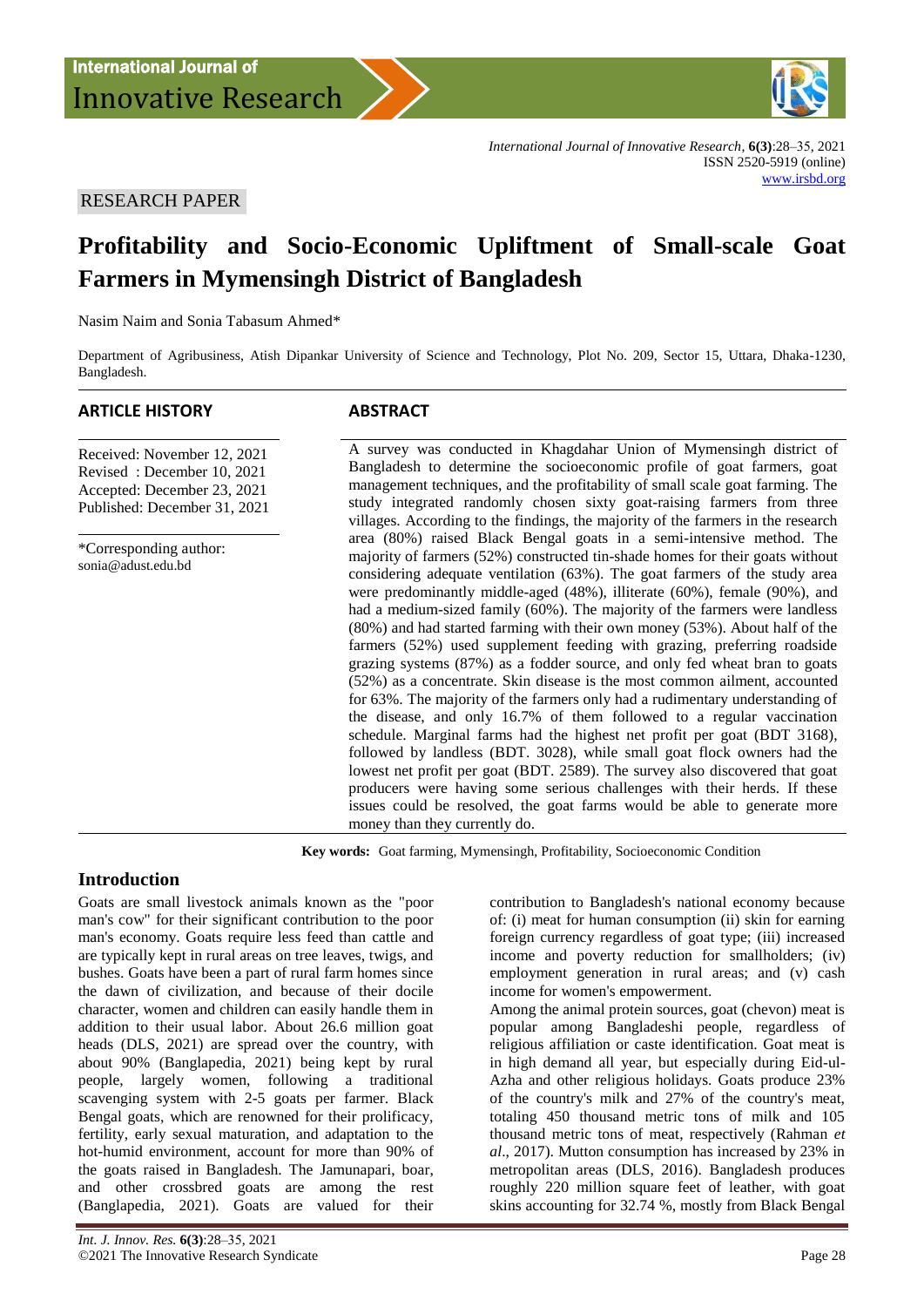

*International Journal of Innovative Research*, **6(3)**:28–35, 2021 ISSN 2520-5919 (online) [www.irsbd.org](http://www.irsbd.org/)

# RESEARCH PAPER

# **Profitability and Socio-Economic Upliftment of Small-scale Goat Farmers in Mymensingh District of Bangladesh**

Nasim Naim and Sonia Tabasum Ahmed\*

Department of Agribusiness, Atish Dipankar University of Science and Technology, Plot No. 209, Sector 15, Uttara, Dhaka-1230, Bangladesh.

#### **ARTICLE HISTORY ABSTRACT**

Received: November 12, 2021 Revised : December 10, 2021 Accepted: December 23, 2021 Published: December 31, 2021

\*Corresponding author: sonia@adust.edu.bd

A survey was conducted in Khagdahar Union of Mymensingh district of Bangladesh to determine the socioeconomic profile of goat farmers, goat management techniques, and the profitability of small scale goat farming. The study integrated randomly chosen sixty goat-raising farmers from three villages. According to the findings, the majority of the farmers in the research area (80%) raised Black Bengal goats in a semi-intensive method. The majority of farmers (52%) constructed tin-shade homes for their goats without considering adequate ventilation (63%). The goat farmers of the study area were predominantly middle-aged (48%), illiterate (60%), female (90%), and had a medium-sized family (60%). The majority of the farmers were landless (80%) and had started farming with their own money (53%). About half of the farmers (52%) used supplement feeding with grazing, preferring roadside grazing systems (87%) as a fodder source, and only fed wheat bran to goats (52%) as a concentrate. Skin disease is the most common ailment, accounted for 63%. The majority of the farmers only had a rudimentary understanding of the disease, and only 16.7% of them followed to a regular vaccination schedule. Marginal farms had the highest net profit per goat (BDT 3168), followed by landless (BDT. 3028), while small goat flock owners had the lowest net profit per goat (BDT. 2589). The survey also discovered that goat producers were having some serious challenges with their herds. If these issues could be resolved, the goat farms would be able to generate more money than they currently do.

**Key words:** Goat farming, Mymensingh, Profitability, Socioeconomic Condition

# **Introduction**

Goats are small livestock animals known as the "poor man's cow" for their significant contribution to the poor man's economy. Goats require less feed than cattle and are typically kept in rural areas on tree leaves, twigs, and bushes. Goats have been a part of rural farm homes since the dawn of civilization, and because of their docile character, women and children can easily handle them in addition to their usual labor. About 26.6 million goat heads (DLS, 2021) are spread over the country, with about 90% (Banglapedia, 2021) being kept by rural people, largely women, following a traditional scavenging system with 2-5 goats per farmer. Black Bengal goats, which are renowned for their prolificacy, fertility, early sexual maturation, and adaptation to the hot-humid environment, account for more than 90% of the goats raised in Bangladesh. The Jamunapari, boar, and other crossbred goats are among the rest (Banglapedia, 2021). Goats are valued for their

contribution to Bangladesh's national economy because of: (i) meat for human consumption (ii) skin for earning foreign currency regardless of goat type; (iii) increased income and poverty reduction for smallholders; (iv) employment generation in rural areas; and (v) cash income for women's empowerment.

Among the animal protein sources, goat (chevon) meat is popular among Bangladeshi people, regardless of religious affiliation or caste identification. Goat meat is in high demand all year, but especially during Eid-ul-Azha and other religious holidays. Goats produce 23% of the country's milk and 27% of the country's meat, totaling 450 thousand metric tons of milk and 105 thousand metric tons of meat, respectively (Rahman *et al*., 2017). Mutton consumption has increased by 23% in metropolitan areas (DLS, 2016). Bangladesh produces roughly 220 million square feet of leather, with goat skins accounting for 32.74 %, mostly from Black Bengal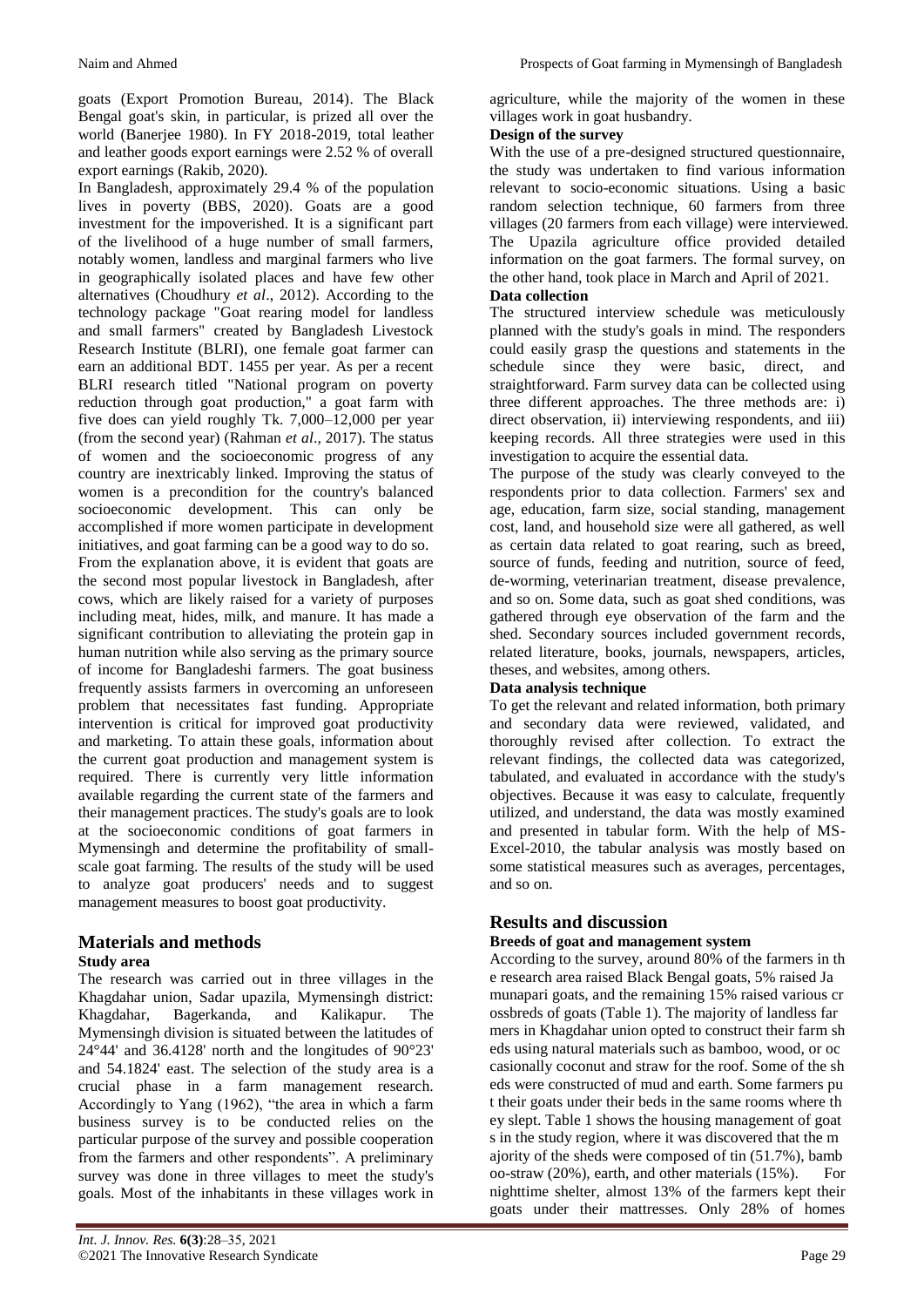goats (Export Promotion Bureau, 2014). The Black Bengal goat's skin, in particular, is prized all over the world (Banerjee 1980). In FY 2018-2019, total leather and leather goods export earnings were 2.52 % of overall export earnings (Rakib, 2020).

In Bangladesh, approximately 29.4 % of the population lives in poverty (BBS, 2020). Goats are a good investment for the impoverished. It is a significant part of the livelihood of a huge number of small farmers, notably women, landless and marginal farmers who live in geographically isolated places and have few other alternatives (Choudhury *et al*., 2012). According to the technology package "Goat rearing model for landless and small farmers" created by Bangladesh Livestock Research Institute (BLRI), one female goat farmer can earn an additional BDT. 1455 per year. As per a recent BLRI research titled "National program on poverty reduction through goat production," a goat farm with five does can yield roughly Tk. 7,000–12,000 per year (from the second year) (Rahman *et al*., 2017). The status of women and the socioeconomic progress of any country are inextricably linked. Improving the status of women is a precondition for the country's balanced socioeconomic development. This can only be accomplished if more women participate in development initiatives, and goat farming can be a good way to do so. From the explanation above, it is evident that goats are the second most popular livestock in Bangladesh, after cows, which are likely raised for a variety of purposes including meat, hides, milk, and manure. It has made a significant contribution to alleviating the protein gap in human nutrition while also serving as the primary source of income for Bangladeshi farmers. The goat business frequently assists farmers in overcoming an unforeseen problem that necessitates fast funding. Appropriate intervention is critical for improved goat productivity and marketing. To attain these goals, information about the current goat production and management system is required. There is currently very little information available regarding the current state of the farmers and their management practices. The study's goals are to look at the socioeconomic conditions of goat farmers in Mymensingh and determine the profitability of smallscale goat farming. The results of the study will be used to analyze goat producers' needs and to suggest management measures to boost goat productivity.

# **Materials and methods**

#### **Study area**

The research was carried out in three villages in the Khagdahar union, Sadar upazila, Mymensingh district: Khagdahar, Bagerkanda, and Kalikapur. The Mymensingh division is situated between the latitudes of 24°44' and 36.4128' north and the longitudes of 90°23' and 54.1824' east. The selection of the study area is a crucial phase in a farm management research. Accordingly to Yang (1962), "the area in which a farm business survey is to be conducted relies on the particular purpose of the survey and possible cooperation from the farmers and other respondents". A preliminary survey was done in three villages to meet the study's goals. Most of the inhabitants in these villages work in

agriculture, while the majority of the women in these villages work in goat husbandry.

#### **Design of the survey**

With the use of a pre-designed structured questionnaire, the study was undertaken to find various information relevant to socio-economic situations. Using a basic random selection technique, 60 farmers from three villages (20 farmers from each village) were interviewed. The Upazila agriculture office provided detailed information on the goat farmers. The formal survey, on the other hand, took place in March and April of 2021.

### **Data collection**

The structured interview schedule was meticulously planned with the study's goals in mind. The responders could easily grasp the questions and statements in the schedule since they were basic, direct, and straightforward. Farm survey data can be collected using three different approaches. The three methods are: i) direct observation, ii) interviewing respondents, and iii) keeping records. All three strategies were used in this investigation to acquire the essential data.

The purpose of the study was clearly conveyed to the respondents prior to data collection. Farmers' sex and age, education, farm size, social standing, management cost, land, and household size were all gathered, as well as certain data related to goat rearing, such as breed, source of funds, feeding and nutrition, source of feed, de-worming, veterinarian treatment, disease prevalence, and so on. Some data, such as goat shed conditions, was gathered through eye observation of the farm and the shed. Secondary sources included government records, related literature, books, journals, newspapers, articles, theses, and websites, among others.

# **Data analysis technique**

To get the relevant and related information, both primary and secondary data were reviewed, validated, and thoroughly revised after collection. To extract the relevant findings, the collected data was categorized, tabulated, and evaluated in accordance with the study's objectives. Because it was easy to calculate, frequently utilized, and understand, the data was mostly examined and presented in tabular form. With the help of MS-Excel-2010, the tabular analysis was mostly based on some statistical measures such as averages, percentages, and so on.

# **Results and discussion**

### **Breeds of goat and management system**

According to the survey, around 80% of the farmers in th e research area raised Black Bengal goats, 5% raised Ja munapari goats, and the remaining 15% raised various cr ossbreds of goats (Table 1). The majority of landless far mers in Khagdahar union opted to construct their farm sh eds using natural materials such as bamboo, wood, or oc casionally coconut and straw for the roof. Some of the sh eds were constructed of mud and earth. Some farmers pu t their goats under their beds in the same rooms where th ey slept. Table 1 shows the housing management of goat s in the study region, where it was discovered that the m ajority of the sheds were composed of tin (51.7%), bamb oo-straw (20%), earth, and other materials (15%). For nighttime shelter, almost 13% of the farmers kept their goats under their mattresses. Only 28% of homes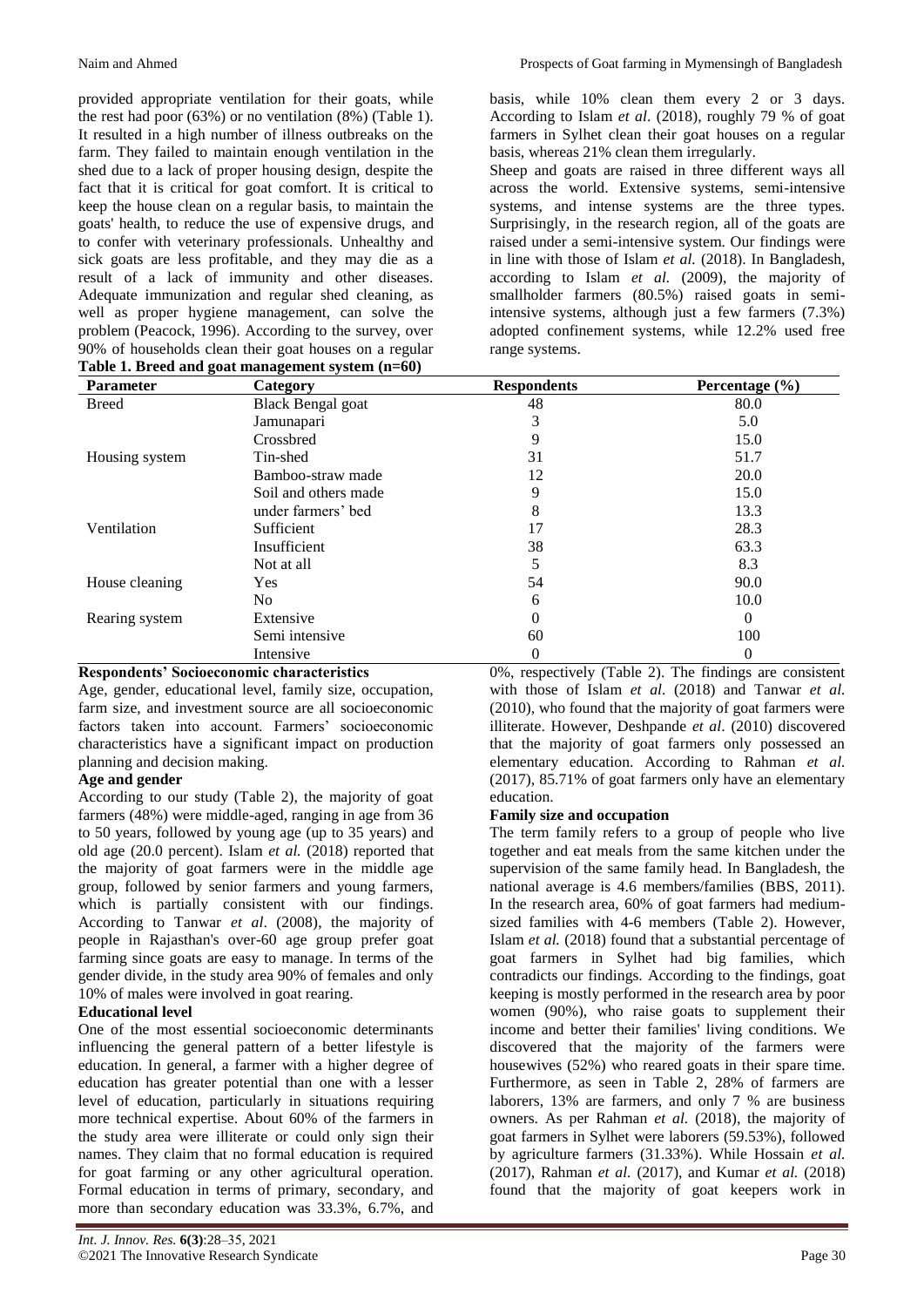provided appropriate ventilation for their goats, while the rest had poor (63%) or no ventilation (8%) (Table 1). It resulted in a high number of illness outbreaks on the farm. They failed to maintain enough ventilation in the shed due to a lack of proper housing design, despite the fact that it is critical for goat comfort. It is critical to keep the house clean on a regular basis, to maintain the goats' health, to reduce the use of expensive drugs, and to confer with veterinary professionals. Unhealthy and sick goats are less profitable, and they may die as a result of a lack of immunity and other diseases. Adequate immunization and regular shed cleaning, as well as proper hygiene management, can solve the problem (Peacock, 1996). According to the survey, over 90% of households clean their goat houses on a regular

| Table 1. Breed and goat management system (n=60) |  |  |  |  |  |  |
|--------------------------------------------------|--|--|--|--|--|--|
|--------------------------------------------------|--|--|--|--|--|--|

basis, while 10% clean them every 2 or 3 days. According to Islam *et al*. (2018), roughly 79 % of goat farmers in Sylhet clean their goat houses on a regular basis, whereas 21% clean them irregularly.

Sheep and goats are raised in three different ways all across the world. Extensive systems, semi-intensive systems, and intense systems are the three types. Surprisingly, in the research region, all of the goats are raised under a semi-intensive system. Our findings were in line with those of Islam *et al.* (2018). In Bangladesh, according to Islam *et al.* (2009), the majority of smallholder farmers (80.5%) raised goats in semiintensive systems, although just a few farmers (7.3%) adopted confinement systems, while 12.2% used free range systems.

| -<br><b>Parameter</b> | -<br>Category            | <b>Respondents</b> | Percentage (%) |
|-----------------------|--------------------------|--------------------|----------------|
| <b>Breed</b>          | <b>Black Bengal goat</b> | 48                 | 80.0           |
|                       | Jamunapari               | 3                  | 5.0            |
|                       | Crossbred                | 9                  | 15.0           |
| Housing system        | Tin-shed                 | 31                 | 51.7           |
|                       | Bamboo-straw made        | 12                 | 20.0           |
|                       | Soil and others made     | 9                  | 15.0           |
|                       | under farmers' bed       | 8                  | 13.3           |
| Ventilation           | Sufficient               | 17                 | 28.3           |
|                       | Insufficient             | 38                 | 63.3           |
|                       | Not at all               | 5                  | 8.3            |
| House cleaning        | <b>Yes</b>               | 54                 | 90.0           |
|                       | No                       | 6                  | 10.0           |
| Rearing system        | Extensive                | $\Omega$           | 0              |
|                       | Semi intensive           | 60                 | 100            |
|                       | Intensive                | 0                  | 0              |

# **Respondents' Socioeconomic characteristics**

Age, gender, educational level, family size, occupation, farm size, and investment source are all socioeconomic factors taken into account. Farmers' socioeconomic characteristics have a significant impact on production planning and decision making.

#### **Age and gender**

According to our study (Table 2), the majority of goat farmers (48%) were middle-aged, ranging in age from 36 to 50 years, followed by young age (up to 35 years) and old age (20.0 percent). Islam *et al.* (2018) reported that the majority of goat farmers were in the middle age group, followed by senior farmers and young farmers, which is partially consistent with our findings. According to Tanwar *et al*. (2008), the majority of people in Rajasthan's over-60 age group prefer goat farming since goats are easy to manage. In terms of the gender divide, in the study area 90% of females and only 10% of males were involved in goat rearing.

#### **Educational level**

One of the most essential socioeconomic determinants influencing the general pattern of a better lifestyle is education. In general, a farmer with a higher degree of education has greater potential than one with a lesser level of education, particularly in situations requiring more technical expertise. About 60% of the farmers in the study area were illiterate or could only sign their names. They claim that no formal education is required for goat farming or any other agricultural operation. Formal education in terms of primary, secondary, and more than secondary education was 33.3%, 6.7%, and

0%, respectively (Table 2). The findings are consistent with those of Islam *et al*. (2018) and Tanwar *et al.* (2010), who found that the majority of goat farmers were illiterate. However, Deshpande *et al*. (2010) discovered that the majority of goat farmers only possessed an elementary education. According to Rahman *et al.* (2017), 85.71% of goat farmers only have an elementary education.

#### **Family size and occupation**

The term family refers to a group of people who live together and eat meals from the same kitchen under the supervision of the same family head. In Bangladesh, the national average is 4.6 members/families (BBS, 2011). In the research area, 60% of goat farmers had mediumsized families with 4-6 members (Table 2). However, Islam *et al.* (2018) found that a substantial percentage of goat farmers in Sylhet had big families, which contradicts our findings. According to the findings, goat keeping is mostly performed in the research area by poor women (90%), who raise goats to supplement their income and better their families' living conditions. We discovered that the majority of the farmers were housewives (52%) who reared goats in their spare time. Furthermore, as seen in Table 2, 28% of farmers are laborers, 13% are farmers, and only 7 % are business owners. As per Rahman *et al.* (2018), the majority of goat farmers in Sylhet were laborers (59.53%), followed by agriculture farmers (31.33%). While Hossain *et al.* (2017), Rahman *et al.* (2017), and Kumar *et al.* (2018) found that the majority of goat keepers work in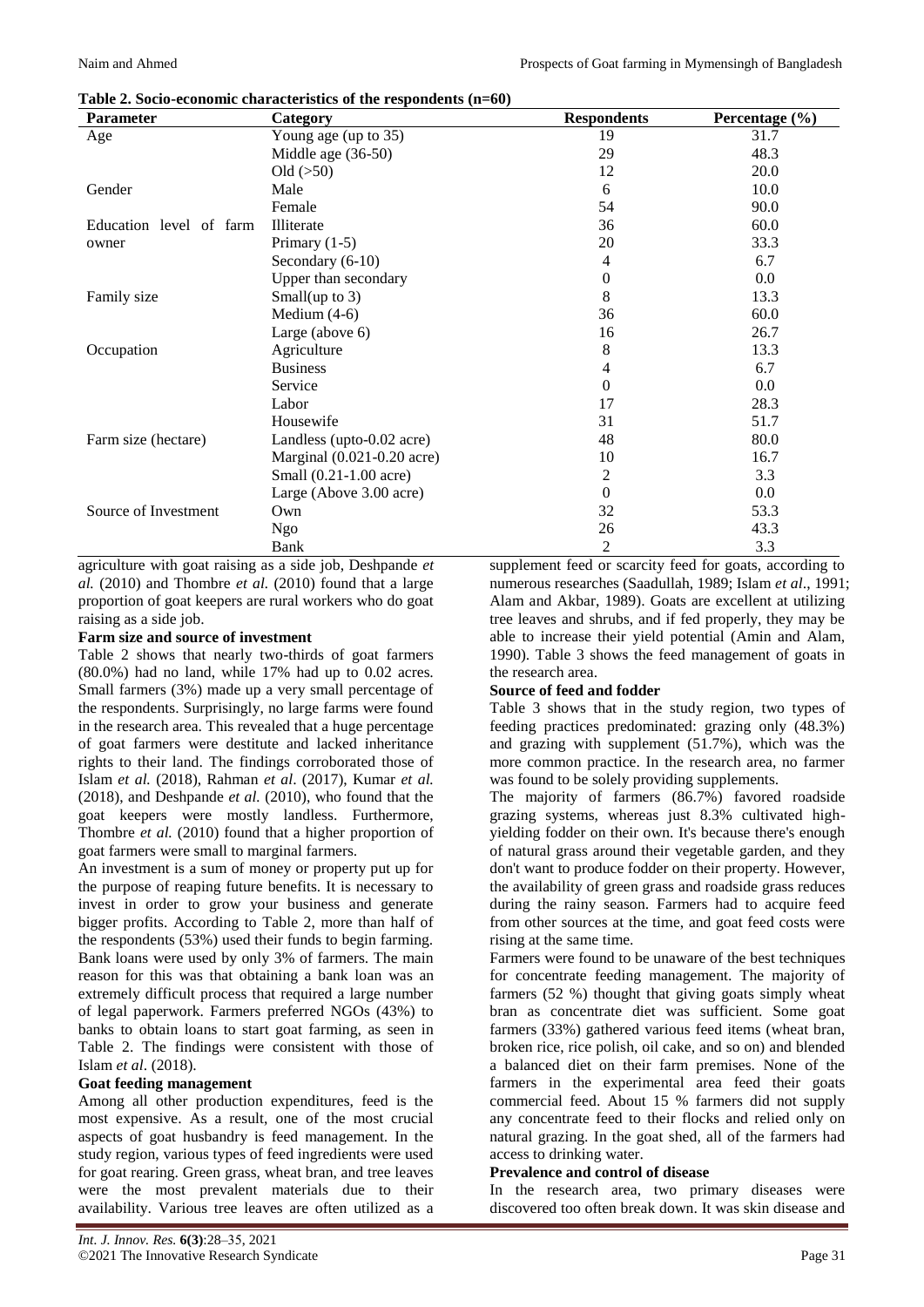| Parameter               | Category                       | <b>Respondents</b> | Percentage (%) |
|-------------------------|--------------------------------|--------------------|----------------|
| Age                     | Young age (up to 35)           | 19                 | 31.7           |
|                         | Middle age (36-50)             | 29                 | 48.3           |
|                         | Old $(50)$                     | 12                 | 20.0           |
| Gender                  | Male                           | 6                  | 10.0           |
|                         | Female                         | 54                 | 90.0           |
| Education level of farm | Illiterate                     | 36                 | 60.0           |
| owner                   | Primary $(1-5)$                | 20                 | 33.3           |
|                         | Secondary (6-10)               | 4                  | 6.7            |
|                         | Upper than secondary           | $\theta$           | 0.0            |
| Family size             | Small(up to $3$ )              | 8                  | 13.3           |
|                         | Medium $(4-6)$                 | 36                 | 60.0           |
|                         | Large (above 6)                | 16                 | 26.7           |
| Occupation              | Agriculture                    | 8                  | 13.3           |
|                         | <b>Business</b>                | 4                  | 6.7            |
|                         | Service                        | $\Omega$           | 0.0            |
|                         | Labor                          | 17                 | 28.3           |
|                         | Housewife                      | 31                 | 51.7           |
| Farm size (hectare)     | Landless (upto-0.02 acre)      | 48                 | 80.0           |
|                         | Marginal $(0.021 - 0.20$ acre) | 10                 | 16.7           |
|                         | Small (0.21-1.00 acre)         | 2                  | 3.3            |
|                         | Large (Above 3.00 acre)        | $\Omega$           | 0.0            |
| Source of Investment    | Own                            | 32                 | 53.3           |
|                         | Ngo                            | 26                 | 43.3           |
|                         | Bank                           | 2                  | 3.3            |

**Table 2. Socio-economic characteristics of the respondents (n=60)**

agriculture with goat raising as a side job, Deshpande *et al.* (2010) and Thombre *et al.* (2010) found that a large proportion of goat keepers are rural workers who do goat raising as a side job.

# **Farm size and source of investment**

Table 2 shows that nearly two-thirds of goat farmers (80.0%) had no land, while 17% had up to 0.02 acres. Small farmers (3%) made up a very small percentage of the respondents. Surprisingly, no large farms were found in the research area. This revealed that a huge percentage of goat farmers were destitute and lacked inheritance rights to their land. The findings corroborated those of Islam *et al.* (2018), Rahman *et al*. (2017), Kumar *et al.* (2018), and Deshpande *et al.* (2010), who found that the goat keepers were mostly landless. Furthermore, Thombre *et al.* (2010) found that a higher proportion of goat farmers were small to marginal farmers.

An investment is a sum of money or property put up for the purpose of reaping future benefits. It is necessary to invest in order to grow your business and generate bigger profits. According to Table 2, more than half of the respondents (53%) used their funds to begin farming. Bank loans were used by only 3% of farmers. The main reason for this was that obtaining a bank loan was an extremely difficult process that required a large number of legal paperwork. Farmers preferred NGOs (43%) to banks to obtain loans to start goat farming, as seen in Table 2. The findings were consistent with those of Islam *et al*. (2018).

# **Goat feeding management**

Among all other production expenditures, feed is the most expensive. As a result, one of the most crucial aspects of goat husbandry is feed management. In the study region, various types of feed ingredients were used for goat rearing. Green grass, wheat bran, and tree leaves were the most prevalent materials due to their availability. Various tree leaves are often utilized as a

supplement feed or scarcity feed for goats, according to numerous researches (Saadullah, 1989; Islam *et al*., 1991; Alam and Akbar, 1989). Goats are excellent at utilizing tree leaves and shrubs, and if fed properly, they may be able to increase their yield potential (Amin and Alam, 1990). Table 3 shows the feed management of goats in the research area.

# **Source of feed and fodder**

Table 3 shows that in the study region, two types of feeding practices predominated: grazing only (48.3%) and grazing with supplement (51.7%), which was the more common practice. In the research area, no farmer was found to be solely providing supplements.

The majority of farmers (86.7%) favored roadside grazing systems, whereas just 8.3% cultivated highyielding fodder on their own. It's because there's enough of natural grass around their vegetable garden, and they don't want to produce fodder on their property. However, the availability of green grass and roadside grass reduces during the rainy season. Farmers had to acquire feed from other sources at the time, and goat feed costs were rising at the same time.

Farmers were found to be unaware of the best techniques for concentrate feeding management. The majority of farmers (52 %) thought that giving goats simply wheat bran as concentrate diet was sufficient. Some goat farmers (33%) gathered various feed items (wheat bran, broken rice, rice polish, oil cake, and so on) and blended a balanced diet on their farm premises. None of the farmers in the experimental area feed their goats commercial feed. About 15 % farmers did not supply any concentrate feed to their flocks and relied only on natural grazing. In the goat shed, all of the farmers had access to drinking water.

# **Prevalence and control of disease**

In the research area, two primary diseases were discovered too often break down. It was skin disease and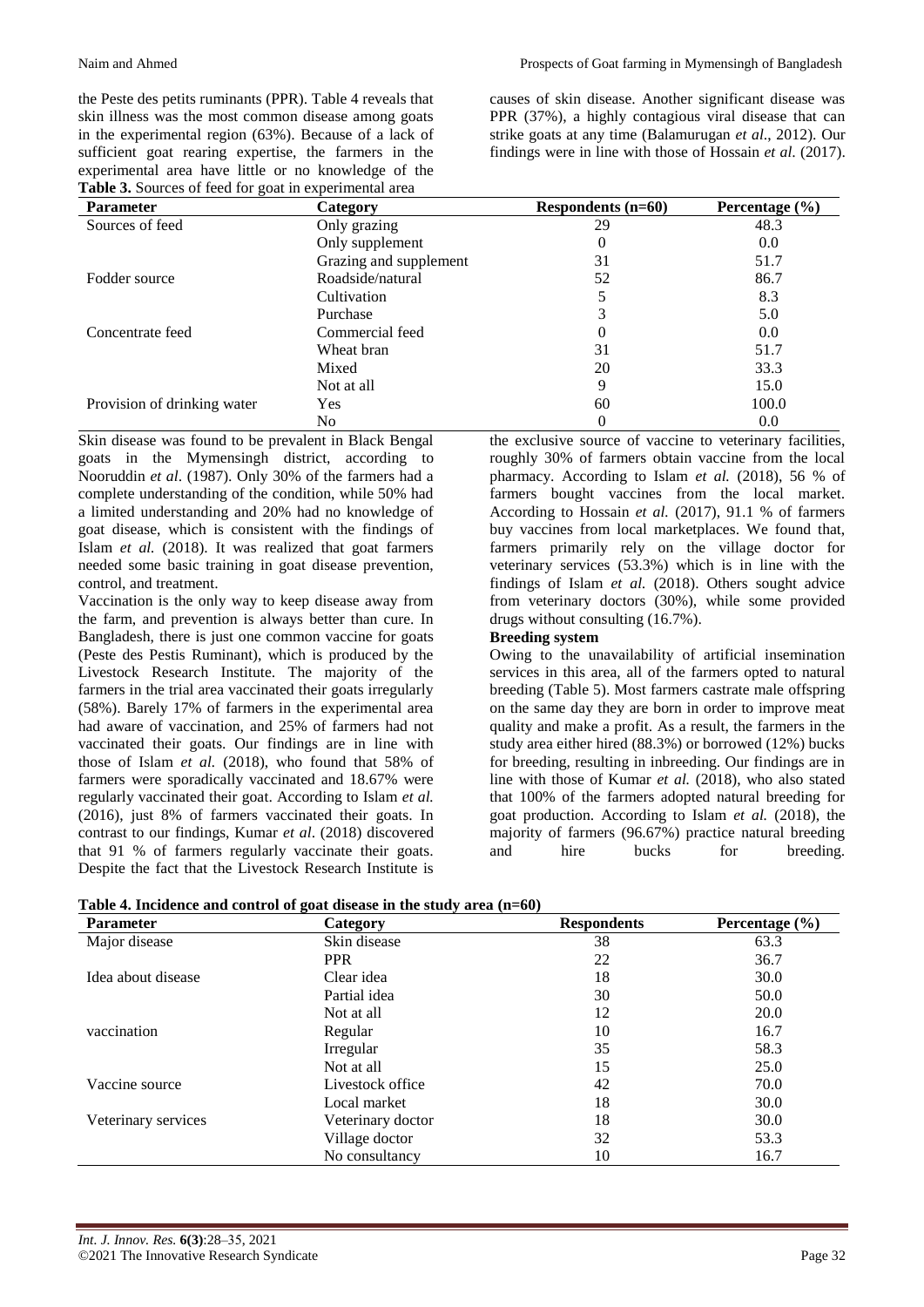the Peste des petits ruminants (PPR). Table 4 reveals that skin illness was the most common disease among goats in the experimental region (63%). Because of a lack of sufficient goat rearing expertise, the farmers in the experimental area have little or no knowledge of the **Table 3.** Sources of feed for goat in experimental area

causes of skin disease. Another significant disease was PPR (37%), a highly contagious viral disease that can strike goats at any time (Balamurugan *et al*., 2012). Our findings were in line with those of Hossain *et al*. (2017).

| <b>Parameter</b>            | Category               | Respondents $(n=60)$ | Percentage $(\% )$ |
|-----------------------------|------------------------|----------------------|--------------------|
| Sources of feed             | Only grazing           | 29                   | 48.3               |
|                             | Only supplement        | 0                    | 0.0                |
|                             | Grazing and supplement | 31                   | 51.7               |
| Fodder source               | Roadside/natural       | 52                   | 86.7               |
|                             | Cultivation            |                      | 8.3                |
|                             | Purchase               |                      | 5.0                |
| Concentrate feed            | Commercial feed        | 0                    | 0.0                |
|                             | Wheat bran             | 31                   | 51.7               |
|                             | Mixed                  | 20                   | 33.3               |
|                             | Not at all             | 9                    | 15.0               |
| Provision of drinking water | <b>Yes</b>             | 60                   | 100.0              |
|                             | No                     | 0                    | 0.0                |

Skin disease was found to be prevalent in Black Bengal goats in the Mymensingh district, according to Nooruddin *et al*. (1987). Only 30% of the farmers had a complete understanding of the condition, while 50% had a limited understanding and 20% had no knowledge of goat disease, which is consistent with the findings of Islam *et al.* (2018). It was realized that goat farmers needed some basic training in goat disease prevention, control, and treatment.

Vaccination is the only way to keep disease away from the farm, and prevention is always better than cure. In Bangladesh, there is just one common vaccine for goats (Peste des Pestis Ruminant), which is produced by the Livestock Research Institute. The majority of the farmers in the trial area vaccinated their goats irregularly (58%). Barely 17% of farmers in the experimental area had aware of vaccination, and 25% of farmers had not vaccinated their goats. Our findings are in line with those of Islam *et al.* (2018), who found that 58% of farmers were sporadically vaccinated and 18.67% were regularly vaccinated their goat. According to Islam *et al.* (2016), just 8% of farmers vaccinated their goats. In contrast to our findings, Kumar *et al*. (2018) discovered that 91 % of farmers regularly vaccinate their goats. Despite the fact that the Livestock Research Institute is

the exclusive source of vaccine to veterinary facilities, roughly 30% of farmers obtain vaccine from the local pharmacy. According to Islam *et al.* (2018), 56 % of farmers bought vaccines from the local market. According to Hossain *et al.* (2017), 91.1 % of farmers buy vaccines from local marketplaces. We found that, farmers primarily rely on the village doctor for veterinary services (53.3%) which is in line with the findings of Islam *et al.* (2018). Others sought advice from veterinary doctors (30%), while some provided drugs without consulting (16.7%).

#### **Breeding system**

Owing to the unavailability of artificial insemination services in this area, all of the farmers opted to natural breeding (Table 5). Most farmers castrate male offspring on the same day they are born in order to improve meat quality and make a profit. As a result, the farmers in the study area either hired (88.3%) or borrowed (12%) bucks for breeding, resulting in inbreeding. Our findings are in line with those of Kumar *et al.* (2018), who also stated that 100% of the farmers adopted natural breeding for goat production. According to Islam *et al.* (2018), the majority of farmers (96.67%) practice natural breeding and hire bucks for breeding.

| Table 4. Incidence and control of goat disease in the study area (n=60) |  |  |
|-------------------------------------------------------------------------|--|--|
|-------------------------------------------------------------------------|--|--|

| <b>Parameter</b>    | Category          | <b>Respondents</b> | Percentage $(\% )$ |
|---------------------|-------------------|--------------------|--------------------|
| Major disease       | Skin disease      | 38                 | 63.3               |
|                     | <b>PPR</b>        | 22                 | 36.7               |
| Idea about disease  | Clear idea        | 18                 | 30.0               |
|                     | Partial idea      | 30                 | 50.0               |
|                     | Not at all        | 12                 | 20.0               |
| vaccination         | Regular           | 10                 | 16.7               |
|                     | Irregular         | 35                 | 58.3               |
|                     | Not at all        | 15                 | 25.0               |
| Vaccine source      | Livestock office  | 42                 | 70.0               |
|                     | Local market      | 18                 | 30.0               |
| Veterinary services | Veterinary doctor | 18                 | 30.0               |
|                     | Village doctor    | 32                 | 53.3               |
|                     | No consultancy    | 10                 | 16.7               |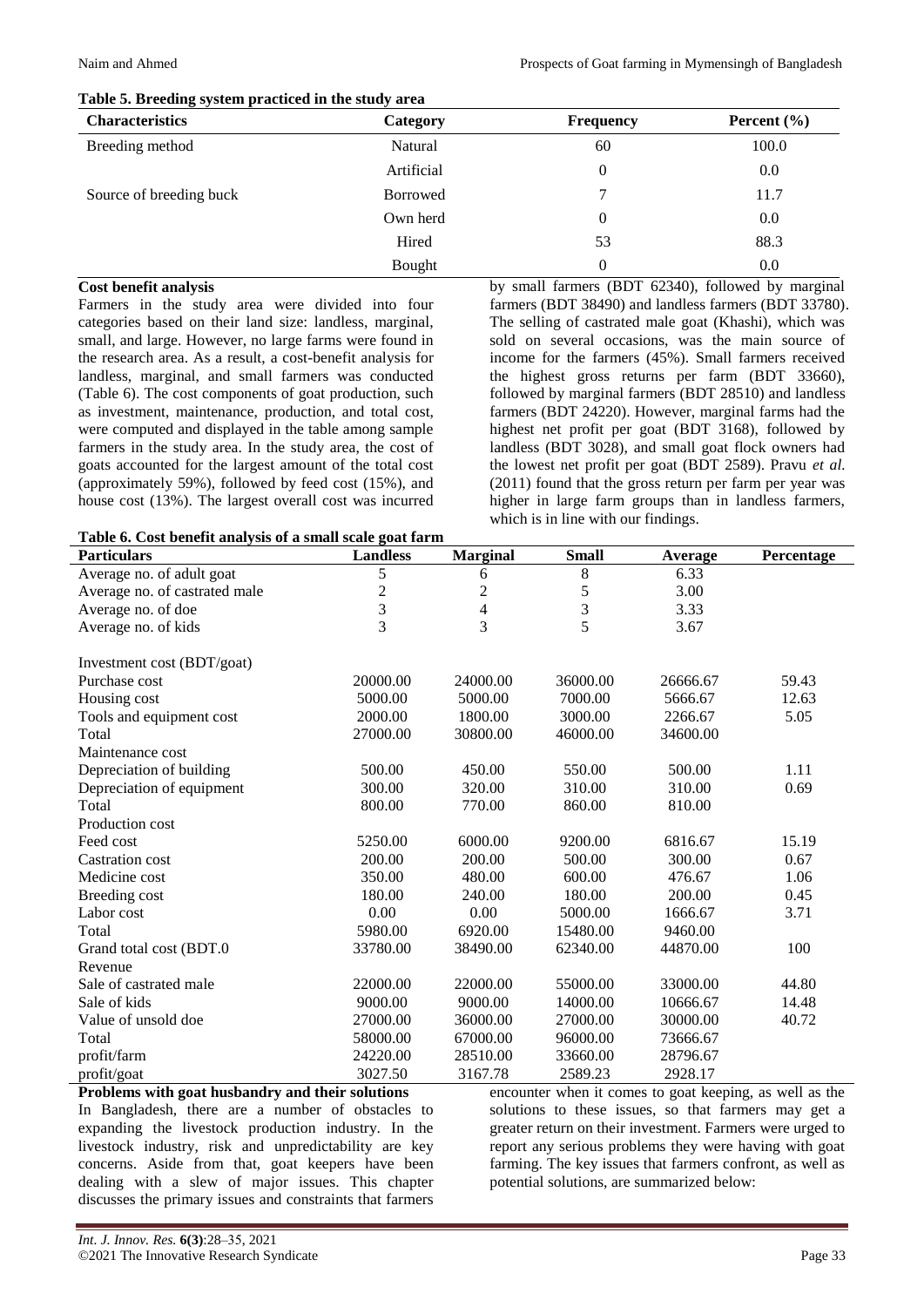| <b>Characteristics</b>  | Category        | <b>Frequency</b> | Percent $(\% )$ |
|-------------------------|-----------------|------------------|-----------------|
| Breeding method         | Natural         | 60               | 100.0           |
|                         | Artificial      | 0                | 0.0             |
| Source of breeding buck | <b>Borrowed</b> |                  | 11.7            |
|                         | Own herd        | 0                | 0.0             |
|                         | Hired           | 53               | 88.3            |
|                         | Bought          | 0                | 0.0             |

#### **Table 5. Breeding system practiced in the study area**

#### **Cost benefit analysis**

Farmers in the study area were divided into four categories based on their land size: landless, marginal, small, and large. However, no large farms were found in the research area. As a result, a cost-benefit analysis for landless, marginal, and small farmers was conducted (Table 6). The cost components of goat production, such as investment, maintenance, production, and total cost, were computed and displayed in the table among sample farmers in the study area. In the study area, the cost of goats accounted for the largest amount of the total cost (approximately 59%), followed by feed cost (15%), and house cost (13%). The largest overall cost was incurred by small farmers (BDT 62340), followed by marginal farmers (BDT 38490) and landless farmers (BDT 33780). The selling of castrated male goat (Khashi), which was sold on several occasions, was the main source of income for the farmers (45%). Small farmers received the highest gross returns per farm (BDT 33660), followed by marginal farmers (BDT 28510) and landless farmers (BDT 24220). However, marginal farms had the highest net profit per goat (BDT 3168), followed by landless (BDT 3028), and small goat flock owners had the lowest net profit per goat (BDT 2589). Pravu *et al.* (2011) found that the gross return per farm per year was higher in large farm groups than in landless farmers, which is in line with our findings.

|  |  | Table 6. Cost benefit analysis of a small scale goat farm |  |
|--|--|-----------------------------------------------------------|--|
|--|--|-----------------------------------------------------------|--|

| Table 0. Cost belieflt analysis of a sinali scale goat farm |                 |                 |              |          |            |
|-------------------------------------------------------------|-----------------|-----------------|--------------|----------|------------|
| <b>Particulars</b>                                          | <b>Landless</b> | <b>Marginal</b> | <b>Small</b> | Average  | Percentage |
| Average no. of adult goat                                   | 5               | 6               | 8            | 6.33     |            |
| Average no. of castrated male                               | $\overline{c}$  | $\overline{c}$  | 5            | 3.00     |            |
| Average no. of doe                                          | 3               | 4               | 3            | 3.33     |            |
| Average no. of kids                                         | $\overline{3}$  | 3               | 5            | 3.67     |            |
| Investment cost (BDT/goat)                                  |                 |                 |              |          |            |
| Purchase cost                                               | 20000.00        | 24000.00        | 36000.00     | 26666.67 | 59.43      |
| Housing cost                                                | 5000.00         | 5000.00         | 7000.00      | 5666.67  | 12.63      |
| Tools and equipment cost                                    | 2000.00         | 1800.00         | 3000.00      | 2266.67  | 5.05       |
| Total                                                       | 27000.00        | 30800.00        | 46000.00     | 34600.00 |            |
| Maintenance cost                                            |                 |                 |              |          |            |
| Depreciation of building                                    | 500.00          | 450.00          | 550.00       | 500.00   | 1.11       |
| Depreciation of equipment                                   | 300.00          | 320.00          | 310.00       | 310.00   | 0.69       |
| Total                                                       | 800.00          | 770.00          | 860.00       | 810.00   |            |
| Production cost                                             |                 |                 |              |          |            |
| Feed cost                                                   | 5250.00         | 6000.00         | 9200.00      | 6816.67  | 15.19      |
| <b>Castration cost</b>                                      | 200.00          | 200.00          | 500.00       | 300.00   | 0.67       |
| Medicine cost                                               | 350.00          | 480.00          | 600.00       | 476.67   | 1.06       |
| Breeding cost                                               | 180.00          | 240.00          | 180.00       | 200.00   | 0.45       |
| Labor cost                                                  | 0.00            | 0.00            | 5000.00      | 1666.67  | 3.71       |
| Total                                                       | 5980.00         | 6920.00         | 15480.00     | 9460.00  |            |
| Grand total cost (BDT.0                                     | 33780.00        | 38490.00        | 62340.00     | 44870.00 | 100        |
| Revenue                                                     |                 |                 |              |          |            |
| Sale of castrated male                                      | 22000.00        | 22000.00        | 55000.00     | 33000.00 | 44.80      |
| Sale of kids                                                | 9000.00         | 9000.00         | 14000.00     | 10666.67 | 14.48      |
| Value of unsold doe                                         | 27000.00        | 36000.00        | 27000.00     | 30000.00 | 40.72      |
| Total                                                       | 58000.00        | 67000.00        | 96000.00     | 73666.67 |            |
| profit/farm                                                 | 24220.00        | 28510.00        | 33660.00     | 28796.67 |            |
| profit/goat                                                 | 3027.50         | 3167.78         | 2589.23      | 2928.17  |            |

**Problems with goat husbandry and their solutions** In Bangladesh, there are a number of obstacles to expanding the livestock production industry. In the livestock industry, risk and unpredictability are key concerns. Aside from that, goat keepers have been dealing with a slew of major issues. This chapter discusses the primary issues and constraints that farmers

encounter when it comes to goat keeping, as well as the solutions to these issues, so that farmers may get a greater return on their investment. Farmers were urged to report any serious problems they were having with goat farming. The key issues that farmers confront, as well as potential solutions, are summarized below: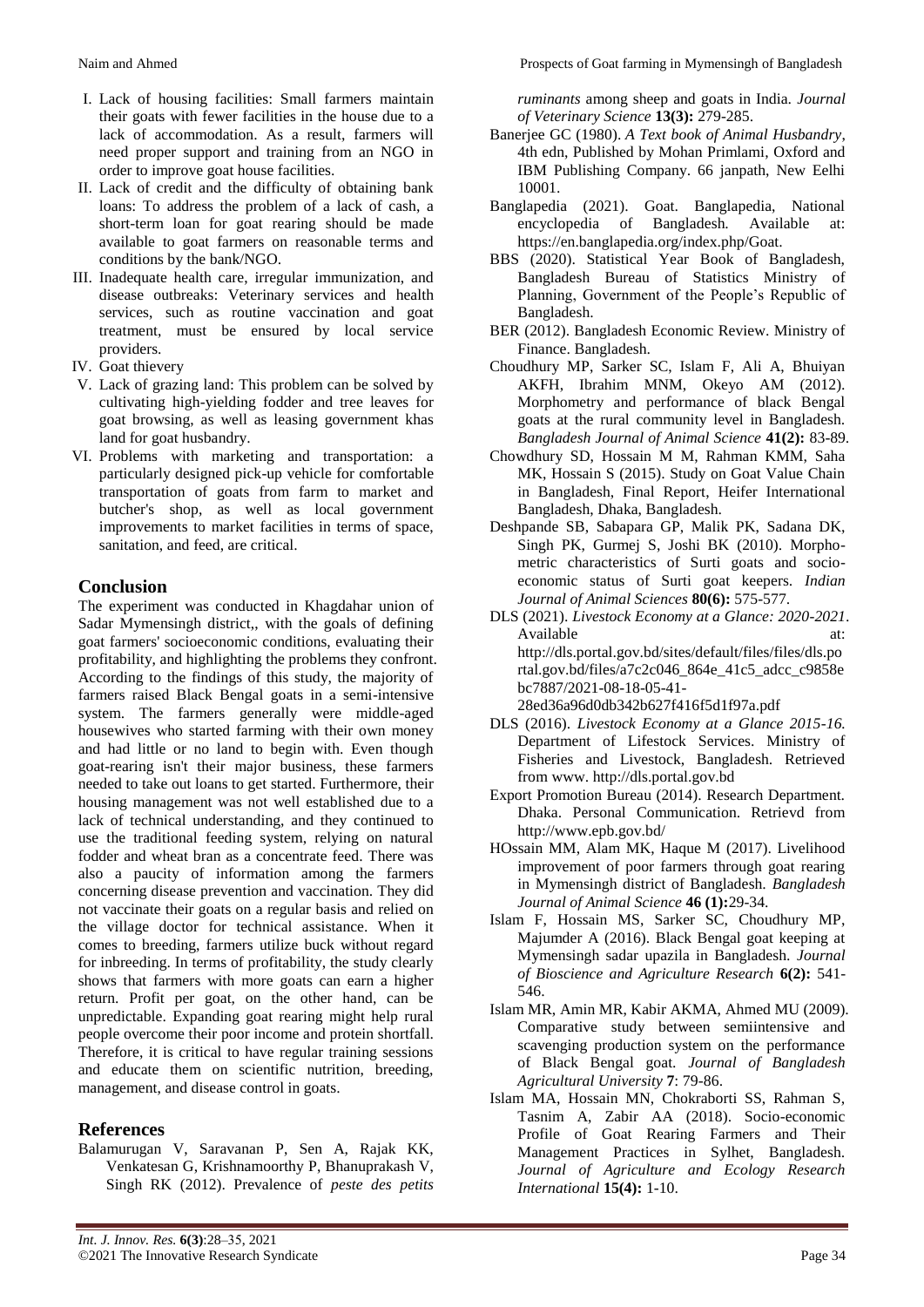- I. Lack of housing facilities: Small farmers maintain their goats with fewer facilities in the house due to a lack of accommodation. As a result, farmers will need proper support and training from an NGO in order to improve goat house facilities.
- II. Lack of credit and the difficulty of obtaining bank loans: To address the problem of a lack of cash, a short-term loan for goat rearing should be made available to goat farmers on reasonable terms and conditions by the bank/NGO.
- III. Inadequate health care, irregular immunization, and disease outbreaks: Veterinary services and health services, such as routine vaccination and goat treatment, must be ensured by local service providers.
- IV. Goat thievery
- V. Lack of grazing land: This problem can be solved by cultivating high-yielding fodder and tree leaves for goat browsing, as well as leasing government khas land for goat husbandry.
- VI. Problems with marketing and transportation: a particularly designed pick-up vehicle for comfortable transportation of goats from farm to market and butcher's shop, as well as local government improvements to market facilities in terms of space, sanitation, and feed, are critical.

# **Conclusion**

The experiment was conducted in Khagdahar union of Sadar Mymensingh district,, with the goals of defining goat farmers' socioeconomic conditions, evaluating their profitability, and highlighting the problems they confront. According to the findings of this study, the majority of farmers raised Black Bengal goats in a semi-intensive system. The farmers generally were middle-aged housewives who started farming with their own money and had little or no land to begin with. Even though goat-rearing isn't their major business, these farmers needed to take out loans to get started. Furthermore, their housing management was not well established due to a lack of technical understanding, and they continued to use the traditional feeding system, relying on natural fodder and wheat bran as a concentrate feed. There was also a paucity of information among the farmers concerning disease prevention and vaccination. They did not vaccinate their goats on a regular basis and relied on the village doctor for technical assistance. When it comes to breeding, farmers utilize buck without regard for inbreeding. In terms of profitability, the study clearly shows that farmers with more goats can earn a higher return. Profit per goat, on the other hand, can be unpredictable. Expanding goat rearing might help rural people overcome their poor income and protein shortfall. Therefore, it is critical to have regular training sessions and educate them on scientific nutrition, breeding, management, and disease control in goats.

# **References**

Balamurugan V, Saravanan P, Sen A, Rajak KK, Venkatesan G, Krishnamoorthy P, Bhanuprakash V, Singh RK (2012). Prevalence of *peste des petits*  *ruminants* among sheep and goats in India. *Journal of Veterinary Science* **13(3):** 279-285.

- Banerjee GC (1980). *A Text book of Animal Husbandry*, 4th edn, Published by Mohan Primlami, Oxford and IBM Publishing Company. 66 janpath, New Eelhi 10001.
- Banglapedia (2021). Goat. Banglapedia, National encyclopedia of Bangladesh. Available at: https://en.banglapedia.org/index.php/Goat.
- BBS (2020). Statistical Year Book of Bangladesh, Bangladesh Bureau of Statistics Ministry of Planning, Government of the People's Republic of Bangladesh.
- BER (2012). Bangladesh Economic Review. Ministry of Finance. Bangladesh.
- Choudhury MP, Sarker SC, Islam F, Ali A, Bhuiyan AKFH, Ibrahim MNM, Okeyo AM (2012). Morphometry and performance of black Bengal goats at the rural community level in Bangladesh. *Bangladesh Journal of Animal Science* **41(2):** 83-89.
- Chowdhury SD, Hossain M M, Rahman KMM, Saha MK, Hossain S (2015). Study on Goat Value Chain in Bangladesh, Final Report, Heifer International Bangladesh, Dhaka, Bangladesh.
- Deshpande SB, Sabapara GP, Malik PK, Sadana DK, Singh PK, Gurmej S, Joshi BK (2010). Morphometric characteristics of Surti goats and socioeconomic status of Surti goat keepers. *Indian Journal of Animal Sciences* **80(6):** 575-577.
- DLS (2021). *Livestock Economy at a Glance: 2020-2021*. Available at: at: http://dls.portal.gov.bd/sites/default/files/files/dls.po rtal.gov.bd/files/a7c2c046\_864e\_41c5\_adcc\_c9858e bc7887/2021-08-18-05-41- 28ed36a96d0db342b627f416f5d1f97a.pdf
- DLS (2016). *Livestock Economy at a Glance 2015-16.* Department of Lifestock Services. Ministry of Fisheries and Livestock, Bangladesh. Retrieved from www. http://dls.portal.gov.bd
- Export Promotion Bureau (2014). Research Department. Dhaka. Personal Communication. Retrievd from http://www.epb.gov.bd/
- HOssain MM, Alam MK, Haque M (2017). Livelihood improvement of poor farmers through goat rearing in Mymensingh district of Bangladesh. *Bangladesh Journal of Animal Science* **46 (1):**29-34.
- Islam F, Hossain MS, Sarker SC, Choudhury MP, Majumder A (2016). Black Bengal goat keeping at Mymensingh sadar upazila in Bangladesh. *Journal of Bioscience and Agriculture Research* **6(2):** 541- 546.
- Islam MR, Amin MR, Kabir AKMA, Ahmed MU (2009). Comparative study between semiintensive and scavenging production system on the performance of Black Bengal goat. *Journal of Bangladesh Agricultural University* **7**: 79-86.
- Islam MA, Hossain MN, Chokraborti SS, Rahman S, Tasnim A, Zabir AA (2018). Socio-economic Profile of Goat Rearing Farmers and Their Management Practices in Sylhet, Bangladesh. *Journal of Agriculture and Ecology Research International* **15(4):** 1-10.